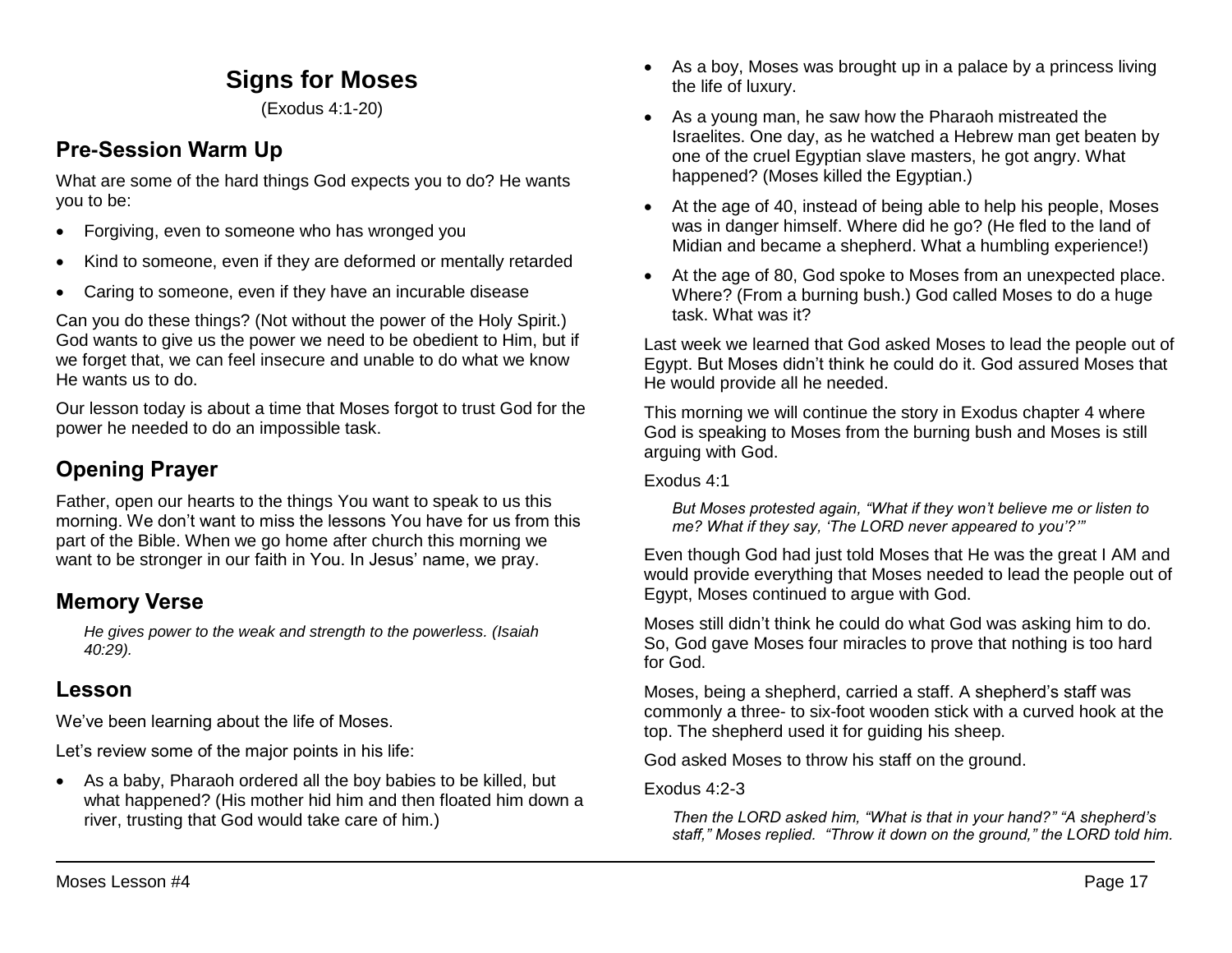# **Signs for Moses**

(Exodus 4:1-20)

### **Pre-Session Warm Up**

What are some of the hard things God expects you to do? He wants you to be:

- Forgiving, even to someone who has wronged you
- Kind to someone, even if they are deformed or mentally retarded
- Caring to someone, even if they have an incurable disease

Can you do these things? (Not without the power of the Holy Spirit.) God wants to give us the power we need to be obedient to Him, but if we forget that, we can feel insecure and unable to do what we know He wants us to do.

Our lesson today is about a time that Moses forgot to trust God for the power he needed to do an impossible task.

# **Opening Prayer**

Father, open our hearts to the things You want to speak to us this morning. We don't want to miss the lessons You have for us from this part of the Bible. When we go home after church this morning we want to be stronger in our faith in You. In Jesus' name, we pray.

## **Memory Verse**

*He gives power to the weak and strength to the powerless. (Isaiah 40:29).*

## **Lesson**

We've been learning about the life of Moses.

Let's review some of the major points in his life:

 As a baby, Pharaoh ordered all the boy babies to be killed, but what happened? (His mother hid him and then floated him down a river, trusting that God would take care of him.)

- As a boy, Moses was brought up in a palace by a princess living the life of luxury.
- As a young man, he saw how the Pharaoh mistreated the Israelites. One day, as he watched a Hebrew man get beaten by one of the cruel Egyptian slave masters, he got angry. What happened? (Moses killed the Egyptian.)
- At the age of 40, instead of being able to help his people, Moses was in danger himself. Where did he go? (He fled to the land of Midian and became a shepherd. What a humbling experience!)
- At the age of 80, God spoke to Moses from an unexpected place. Where? (From a burning bush.) God called Moses to do a huge task. What was it?

Last week we learned that God asked Moses to lead the people out of Egypt. But Moses didn't think he could do it. God assured Moses that He would provide all he needed.

This morning we will continue the story in Exodus chapter 4 where God is speaking to Moses from the burning bush and Moses is still arguing with God.

Exodus 4:1

*But Moses protested again, "What if they won't believe me or listen to me? What if they say, 'The LORD never appeared to you'?'"*

Even though God had just told Moses that He was the great I AM and would provide everything that Moses needed to lead the people out of Egypt, Moses continued to argue with God.

Moses still didn't think he could do what God was asking him to do. So, God gave Moses four miracles to prove that nothing is too hard for God.

Moses, being a shepherd, carried a staff. A shepherd's staff was commonly a three- to six-foot wooden stick with a curved hook at the top. The shepherd used it for guiding his sheep.

God asked Moses to throw his staff on the ground.

Exodus 4:2-3

*Then the LORD asked him, "What is that in your hand?" "A shepherd's staff," Moses replied. "Throw it down on the ground," the LORD told him.*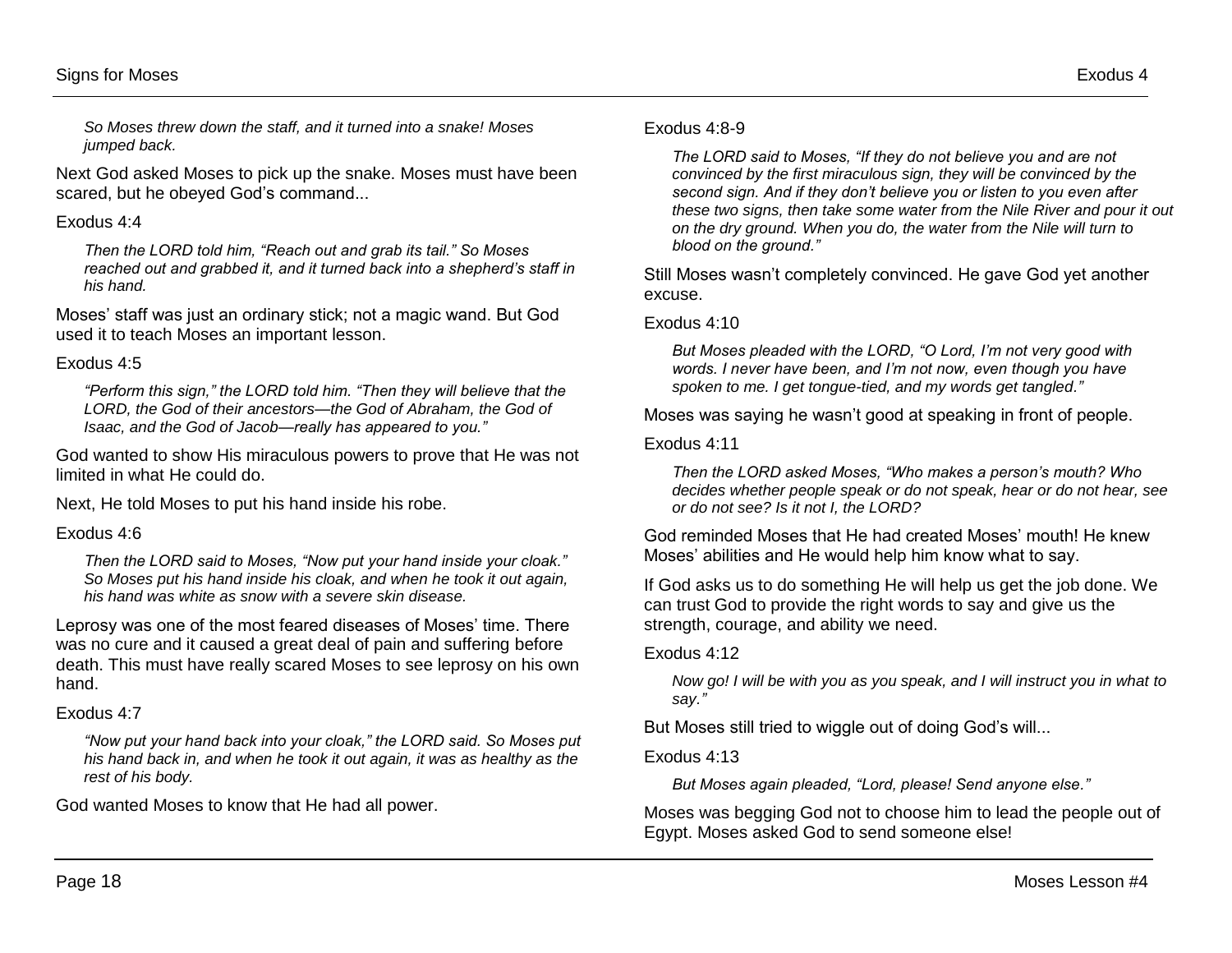*So Moses threw down the staff, and it turned into a snake! Moses jumped back.*

Next God asked Moses to pick up the snake. Moses must have been scared, but he obeyed God's command...

#### Exodus 4:4

*Then the LORD told him, "Reach out and grab its tail." So Moses reached out and grabbed it, and it turned back into a shepherd's staff in his hand.*

Moses' staff was just an ordinary stick; not a magic wand. But God used it to teach Moses an important lesson.

#### Exodus 4:5

*"Perform this sign," the LORD told him. "Then they will believe that the LORD, the God of their ancestors—the God of Abraham, the God of Isaac, and the God of Jacob—really has appeared to you."*

God wanted to show His miraculous powers to prove that He was not limited in what He could do.

Next, He told Moses to put his hand inside his robe.

#### Exodus 4:6

*Then the LORD said to Moses, "Now put your hand inside your cloak." So Moses put his hand inside his cloak, and when he took it out again, his hand was white as snow with a severe skin disease.*

Leprosy was one of the most feared diseases of Moses' time. There was no cure and it caused a great deal of pain and suffering before death. This must have really scared Moses to see leprosy on his own hand.

#### Exodus 4:7

*"Now put your hand back into your cloak," the LORD said. So Moses put his hand back in, and when he took it out again, it was as healthy as the rest of his body.*

God wanted Moses to know that He had all power.

#### Exodus 4:8-9

*The LORD said to Moses, "If they do not believe you and are not convinced by the first miraculous sign, they will be convinced by the second sign. And if they don't believe you or listen to you even after these two signs, then take some water from the Nile River and pour it out on the dry ground. When you do, the water from the Nile will turn to blood on the ground."*

Still Moses wasn't completely convinced. He gave God yet another excuse.

#### Exodus 4:10

*But Moses pleaded with the LORD, "O Lord, I'm not very good with words. I never have been, and I'm not now, even though you have spoken to me. I get tongue-tied, and my words get tangled."* 

Moses was saying he wasn't good at speaking in front of people.

#### Exodus 4:11

*Then the LORD asked Moses, "Who makes a person's mouth? Who decides whether people speak or do not speak, hear or do not hear, see or do not see? Is it not I, the LORD?*

God reminded Moses that He had created Moses' mouth! He knew Moses' abilities and He would help him know what to say.

If God asks us to do something He will help us get the job done. We can trust God to provide the right words to say and give us the strength, courage, and ability we need.

#### Exodus 4:12

*Now go! I will be with you as you speak, and I will instruct you in what to say."* 

But Moses still tried to wiggle out of doing God's will...

#### Exodus 4:13

*But Moses again pleaded, "Lord, please! Send anyone else."* 

Moses was begging God not to choose him to lead the people out of Egypt. Moses asked God to send someone else!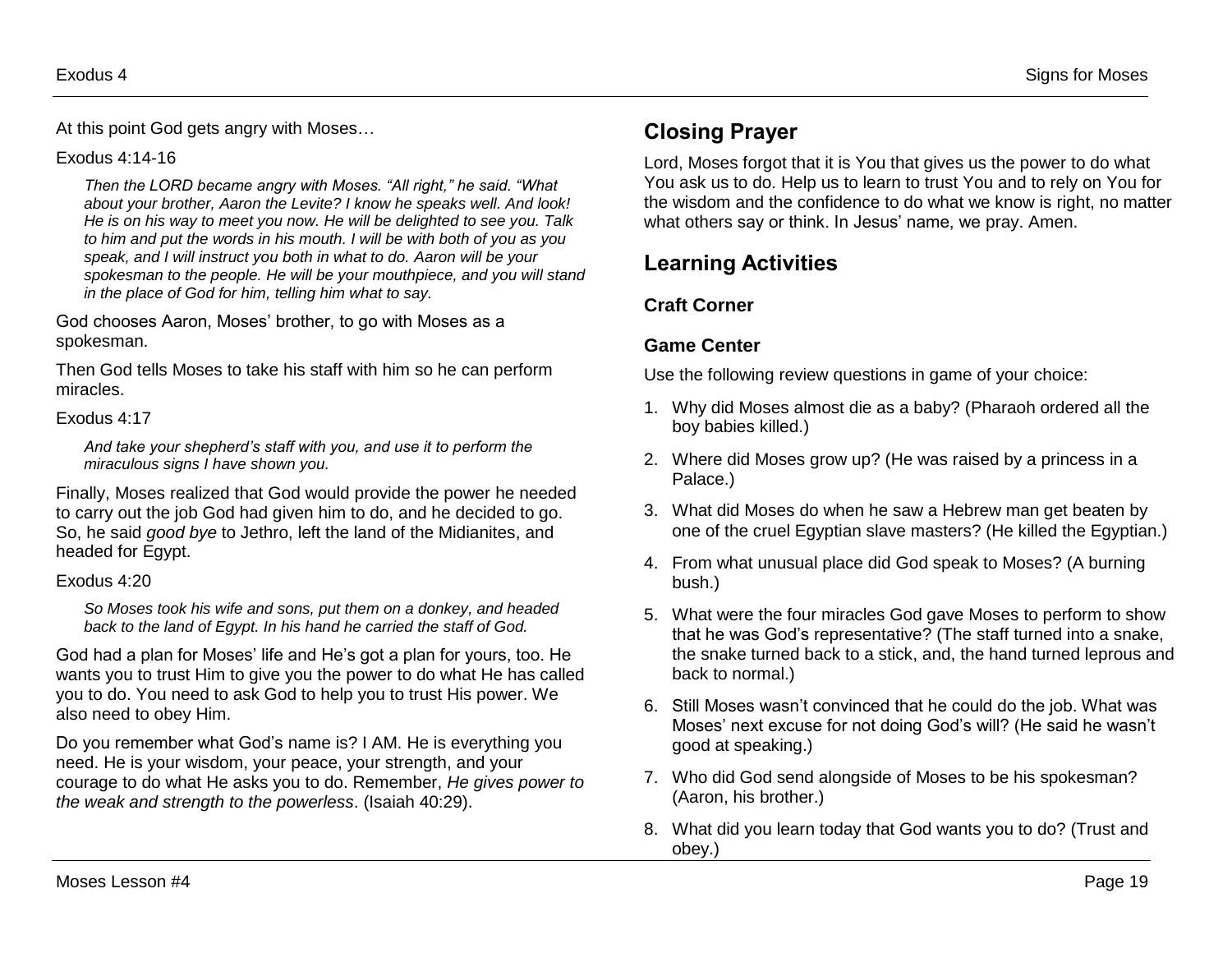At this point God gets angry with Moses…

#### Exodus 4:14-16

*Then the LORD became angry with Moses. "All right," he said. "What about your brother, Aaron the Levite? I know he speaks well. And look! He is on his way to meet you now. He will be delighted to see you. Talk to him and put the words in his mouth. I will be with both of you as you speak, and I will instruct you both in what to do. Aaron will be your spokesman to the people. He will be your mouthpiece, and you will stand in the place of God for him, telling him what to say.*

God chooses Aaron, Moses' brother, to go with Moses as a spokesman.

Then God tells Moses to take his staff with him so he can perform miracles.

#### Exodus 4:17

*And take your shepherd's staff with you, and use it to perform the miraculous signs I have shown you.*

Finally, Moses realized that God would provide the power he needed to carry out the job God had given him to do, and he decided to go. So, he said *good bye* to Jethro, left the land of the Midianites, and headed for Egypt.

#### Exodus 4:20

*So Moses took his wife and sons, put them on a donkey, and headed back to the land of Egypt. In his hand he carried the staff of God.*

God had a plan for Moses' life and He's got a plan for yours, too. He wants you to trust Him to give you the power to do what He has called you to do. You need to ask God to help you to trust His power. We also need to obey Him.

Do you remember what God's name is? I AM. He is everything you need. He is your wisdom, your peace, your strength, and your courage to do what He asks you to do. Remember, *He gives power to the weak and strength to the powerless*. (Isaiah 40:29).

# **Closing Prayer**

Lord, Moses forgot that it is You that gives us the power to do what You ask us to do. Help us to learn to trust You and to rely on You for the wisdom and the confidence to do what we know is right, no matter what others say or think. In Jesus' name, we pray. Amen.

# **Learning Activities**

### **Craft Corner**

### **Game Center**

Use the following review questions in game of your choice:

- 1. Why did Moses almost die as a baby? (Pharaoh ordered all the boy babies killed.)
- 2. Where did Moses grow up? (He was raised by a princess in a Palace.)
- 3. What did Moses do when he saw a Hebrew man get beaten by one of the cruel Egyptian slave masters? (He killed the Egyptian.)
- 4. From what unusual place did God speak to Moses? (A burning bush.)
- 5. What were the four miracles God gave Moses to perform to show that he was God's representative? (The staff turned into a snake, the snake turned back to a stick, and, the hand turned leprous and back to normal.)
- 6. Still Moses wasn't convinced that he could do the job. What was Moses' next excuse for not doing God's will? (He said he wasn't good at speaking.)
- 7. Who did God send alongside of Moses to be his spokesman? (Aaron, his brother.)
- 8. What did you learn today that God wants you to do? (Trust and obey.)